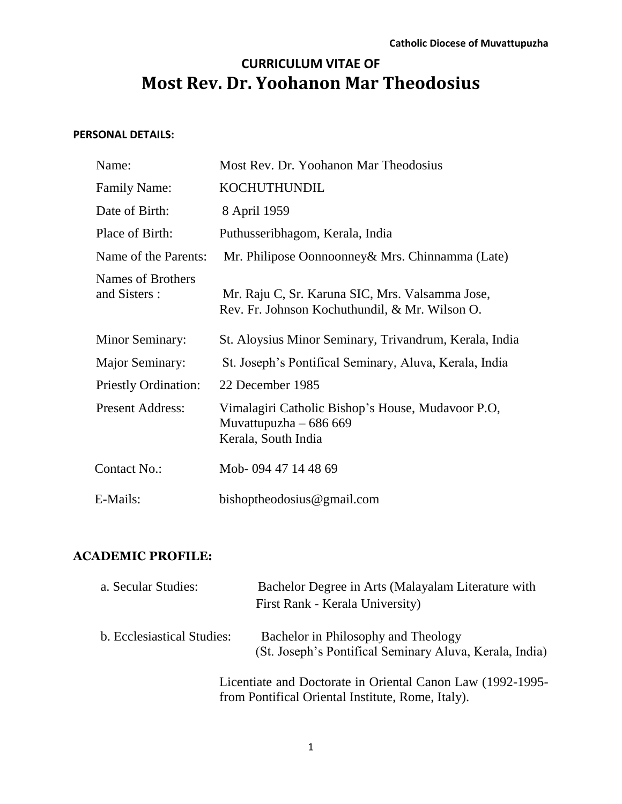# **CURRICULUM VITAE OF Most Rev. Dr. Yoohanon Mar Theodosius**

#### **PERSONAL DETAILS:**

| Name:                              | Most Rev. Dr. Yoohanon Mar Theodosius                                                              |  |  |  |  |
|------------------------------------|----------------------------------------------------------------------------------------------------|--|--|--|--|
| <b>Family Name:</b>                | <b>KOCHUTHUNDIL</b>                                                                                |  |  |  |  |
| Date of Birth:                     | 8 April 1959                                                                                       |  |  |  |  |
| Place of Birth:                    | Puthusseribhagom, Kerala, India                                                                    |  |  |  |  |
| Name of the Parents:               | Mr. Philipose Oonnoonney & Mrs. Chinnamma (Late)                                                   |  |  |  |  |
| Names of Brothers<br>and Sisters : | Mr. Raju C, Sr. Karuna SIC, Mrs. Valsamma Jose,<br>Rev. Fr. Johnson Kochuthundil, & Mr. Wilson O.  |  |  |  |  |
| Minor Seminary:                    | St. Aloysius Minor Seminary, Trivandrum, Kerala, India                                             |  |  |  |  |
| Major Seminary:                    | St. Joseph's Pontifical Seminary, Aluva, Kerala, India                                             |  |  |  |  |
| <b>Priestly Ordination:</b>        | 22 December 1985                                                                                   |  |  |  |  |
| <b>Present Address:</b>            | Vimalagiri Catholic Bishop's House, Mudavoor P.O.<br>Muvattupuzha $-686669$<br>Kerala, South India |  |  |  |  |
| Contact No.:                       | Mob-094 47 14 48 69                                                                                |  |  |  |  |
| E-Mails:                           | bishoptheodosius@gmail.com                                                                         |  |  |  |  |

## **ACADEMIC PROFILE:**

| a. Secular Studies:        | Bachelor Degree in Arts (Malayalam Literature with<br>First Rank - Kerala University)                           |  |  |  |
|----------------------------|-----------------------------------------------------------------------------------------------------------------|--|--|--|
| b. Ecclesiastical Studies: | Bachelor in Philosophy and Theology<br>(St. Joseph's Pontifical Seminary Aluva, Kerala, India)                  |  |  |  |
|                            | Licentiate and Doctorate in Oriental Canon Law (1992-1995-<br>from Pontifical Oriental Institute, Rome, Italy). |  |  |  |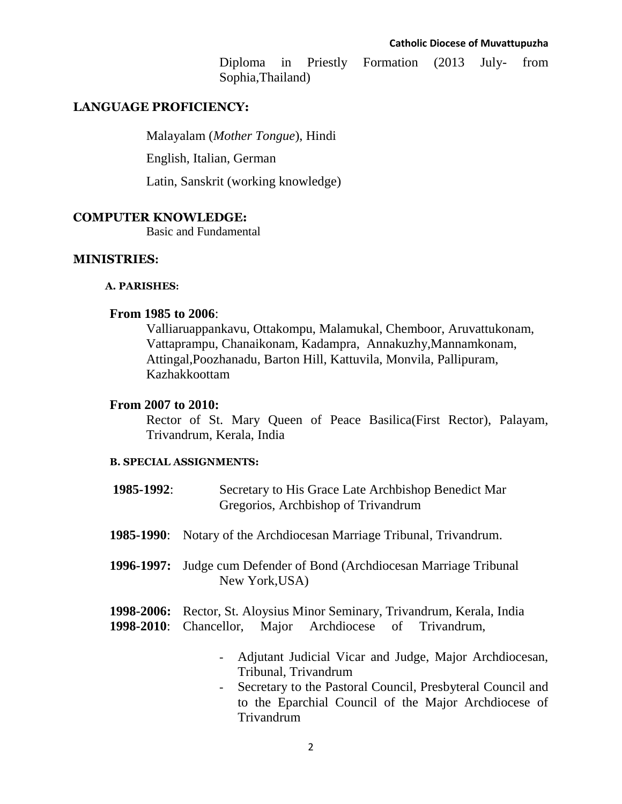Diploma in Priestly Formation (2013 July- from Sophia,Thailand)

#### **LANGUAGE PROFICIENCY:**

Malayalam (*Mother Tongue*), Hindi

English, Italian, German

Latin, Sanskrit (working knowledge)

#### **COMPUTER KNOWLEDGE:**

Basic and Fundamental

#### **MINISTRIES:**

#### **A. PARISHES:**

#### **From 1985 to 2006**:

Valliaruappankavu, Ottakompu, Malamukal, Chemboor, Aruvattukonam, Vattaprampu, Chanaikonam, Kadampra, Annakuzhy,Mannamkonam, Attingal,Poozhanadu, Barton Hill, Kattuvila, Monvila, Pallipuram, Kazhakkoottam

#### **From 2007 to 2010:**

Rector of St. Mary Queen of Peace Basilica(First Rector), Palayam, Trivandrum, Kerala, India

#### **B. SPECIAL ASSIGNMENTS:**

- **1985-1992**: Secretary to His Grace Late Archbishop Benedict Mar Gregorios, Archbishop of Trivandrum
- **1985-1990**: Notary of the Archdiocesan Marriage Tribunal, Trivandrum.
- **1996-1997:** Judge cum Defender of Bond (Archdiocesan Marriage Tribunal New York,USA)
- **1998-2006:** Rector, St. Aloysius Minor Seminary, Trivandrum, Kerala, India **1998-2010**: Chancellor, Major Archdiocese of Trivandrum,
	- Adjutant Judicial Vicar and Judge, Major Archdiocesan, Tribunal, Trivandrum
	- Secretary to the Pastoral Council, Presbyteral Council and to the Eparchial Council of the Major Archdiocese of Trivandrum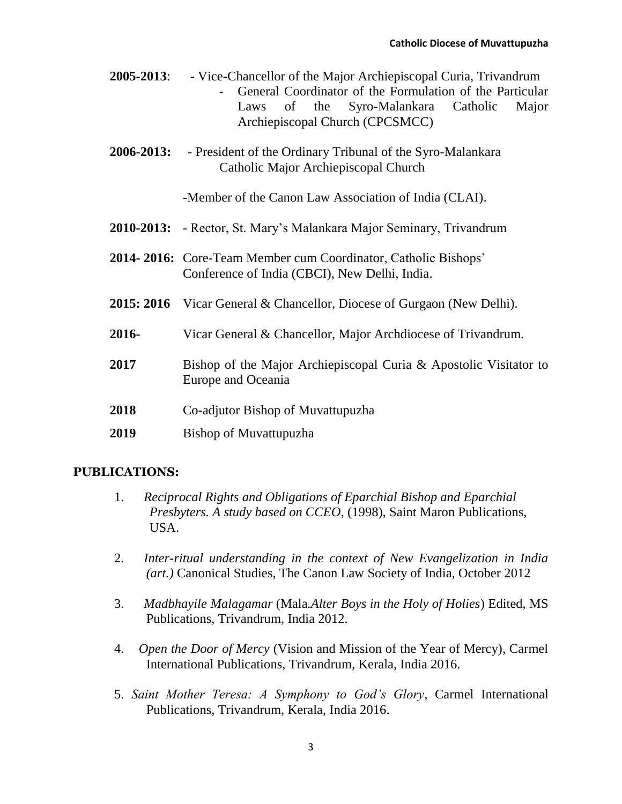| $2005 - 2013$ : | - Vice-Chancellor of the Major Archiepiscopal Curia, Trivandrum |  |  |  |                                                            |  |  |  |  |
|-----------------|-----------------------------------------------------------------|--|--|--|------------------------------------------------------------|--|--|--|--|
|                 |                                                                 |  |  |  | - General Coordinator of the Formulation of the Particular |  |  |  |  |
|                 |                                                                 |  |  |  | Laws of the Syro-Malankara Catholic Major                  |  |  |  |  |
|                 | Archiepiscopal Church (CPCSMCC)                                 |  |  |  |                                                            |  |  |  |  |

**2006-2013:** - President of the Ordinary Tribunal of the Syro-Malankara Catholic Major Archiepiscopal Church

-Member of the Canon Law Association of India (CLAI).

- **2010-2013:** Rector, St. Mary's Malankara Major Seminary, Trivandrum
- **2014- 2016:** Core-Team Member cum Coordinator, Catholic Bishops' Conference of India (CBCI), New Delhi, India.
- **2015: 2016** Vicar General & Chancellor, Diocese of Gurgaon (New Delhi).
- **2016-** Vicar General & Chancellor, Major Archdiocese of Trivandrum.
- **2017** Bishop of the Major Archiepiscopal Curia & Apostolic Visitator to Europe and Oceania
- **2018** Co-adjutor Bishop of Muvattupuzha
- **2019** Bishop of Muvattupuzha

#### **PUBLICATIONS:**

- 1. *Reciprocal Rights and Obligations of Eparchial Bishop and Eparchial Presbyters. A study based on CCEO*, (1998), Saint Maron Publications, USA.
- 2. *Inter-ritual understanding in the context of New Evangelization in India (art.)* Canonical Studies, The Canon Law Society of India, October 2012
- 3. *Madbhayile Malagamar* (Mala*.Alter Boys in the Holy of Holies*) Edited, MS Publications, Trivandrum, India 2012.
- 4. *Open the Door of Mercy* (Vision and Mission of the Year of Mercy), Carmel International Publications, Trivandrum, Kerala, India 2016.
- 5. *Saint Mother Teresa: A Symphony to God's Glory*, Carmel International Publications, Trivandrum, Kerala, India 2016.